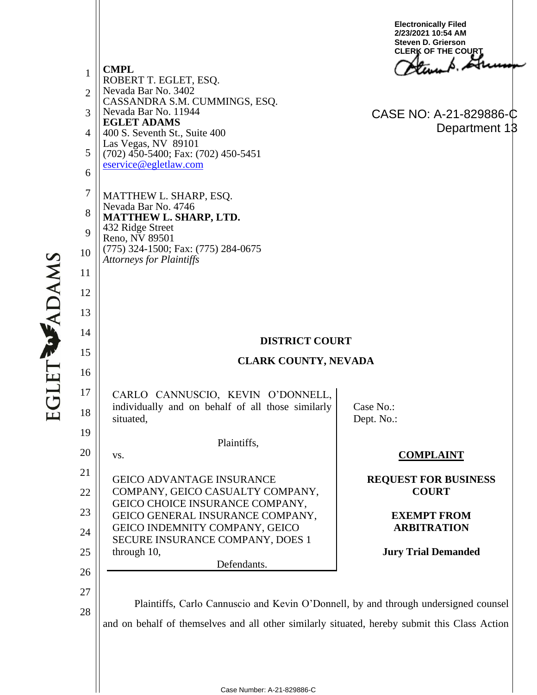1 2 3 4 5 6 7 8 9 10 11 12 13 14 15 16 17 18 19 20 21 22 23 24 25 26 27 28 **CMPL** ROBERT T. EGLET, ESQ. Nevada Bar No. 3402 CASSANDRA S.M. CUMMINGS, ESQ. Nevada Bar No. 11944 **EGLET ADAMS** 400 S. Seventh St., Suite 400 Las Vegas, NV 89101 (702) 450-5400; Fax: (702) 450-5451 eservice@egletlaw.com MATTHEW L. SHARP, ESQ. Nevada Bar No. 4746 **MATTHEW L. SHARP, LTD.** 432 Ridge Street Reno, NV 89501 (775) 324-1500; Fax: (775) 284-0675 *Attorneys for Plaintiffs* **DISTRICT COURT CLARK COUNTY, NEVADA** CARLO CANNUSCIO, KEVIN O'DONNELL, individually and on behalf of all those similarly situated, Plaintiffs, vs. GEICO ADVANTAGE INSURANCE COMPANY, GEICO CASUALTY COMPANY, GEICO CHOICE INSURANCE COMPANY, GEICO GENERAL INSURANCE COMPANY, GEICO INDEMNITY COMPANY, GEICO SECURE INSURANCE COMPANY, DOES 1 through 10, Defendants. Case No.: Dept. No.: **COMPLAINT REQUEST FOR BUSINESS COURT EXEMPT FROM ARBITRATION Jury Trial Demanded** Plaintiffs, Carlo Cannuscio and Kevin O'Donnell, by and through undersigned counsel and on behalf of themselves and all other similarly situated, hereby submit this Class Action **Electronically Filed 2/23/2021 10:54 AM Steven D. Grierson CLERK OF THE COURT** CASE NO: A-21-829886-C Department 13

**EGLET WADAMS**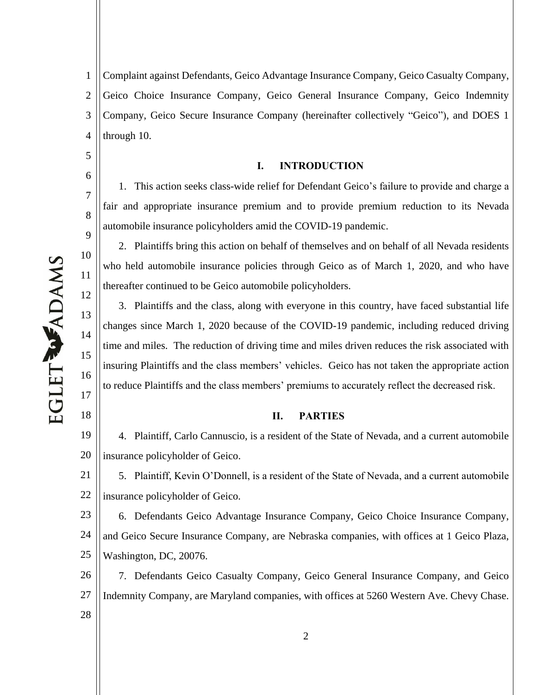5

6

7

8

9

10

11

12

13

14

15

16

17

18

1 2 3 4 Complaint against Defendants, Geico Advantage Insurance Company, Geico Casualty Company, Geico Choice Insurance Company, Geico General Insurance Company, Geico Indemnity Company, Geico Secure Insurance Company (hereinafter collectively "Geico"), and DOES 1 through 10.

#### **I. INTRODUCTION**

1. This action seeks class-wide relief for Defendant Geico's failure to provide and charge a fair and appropriate insurance premium and to provide premium reduction to its Nevada automobile insurance policyholders amid the COVID-19 pandemic.

2. Plaintiffs bring this action on behalf of themselves and on behalf of all Nevada residents who held automobile insurance policies through Geico as of March 1, 2020, and who have thereafter continued to be Geico automobile policyholders.

3. Plaintiffs and the class, along with everyone in this country, have faced substantial life changes since March 1, 2020 because of the COVID-19 pandemic, including reduced driving time and miles. The reduction of driving time and miles driven reduces the risk associated with insuring Plaintiffs and the class members' vehicles. Geico has not taken the appropriate action to reduce Plaintiffs and the class members' premiums to accurately reflect the decreased risk.

## **II. PARTIES**

19 20 4. Plaintiff, Carlo Cannuscio, is a resident of the State of Nevada, and a current automobile insurance policyholder of Geico.

21 22 5. Plaintiff, Kevin O'Donnell, is a resident of the State of Nevada, and a current automobile insurance policyholder of Geico.

23 24 25 6. Defendants Geico Advantage Insurance Company, Geico Choice Insurance Company, and Geico Secure Insurance Company, are Nebraska companies, with offices at 1 Geico Plaza, Washington, DC, 20076.

26 27 28 7. Defendants Geico Casualty Company, Geico General Insurance Company, and Geico Indemnity Company, are Maryland companies, with offices at 5260 Western Ave. Chevy Chase.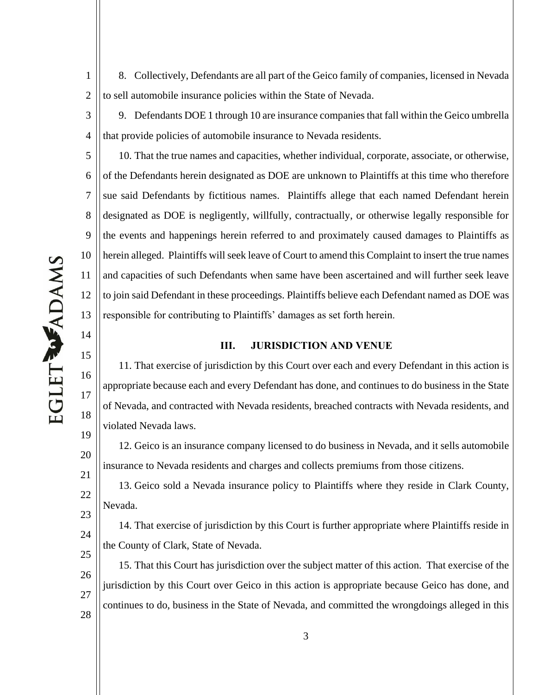8. Collectively, Defendants are all part of the Geico family of companies, licensed in Nevada to sell automobile insurance policies within the State of Nevada.

9. Defendants DOE 1 through 10 are insurance companies that fall within the Geico umbrella that provide policies of automobile insurance to Nevada residents.

5 6 7 8 9 10 12 13 10. That the true names and capacities, whether individual, corporate, associate, or otherwise, of the Defendants herein designated as DOE are unknown to Plaintiffs at this time who therefore sue said Defendants by fictitious names. Plaintiffs allege that each named Defendant herein designated as DOE is negligently, willfully, contractually, or otherwise legally responsible for the events and happenings herein referred to and proximately caused damages to Plaintiffs as herein alleged. Plaintiffs will seek leave of Court to amend this Complaint to insert the true names and capacities of such Defendants when same have been ascertained and will further seek leave to join said Defendant in these proceedings. Plaintiffs believe each Defendant named as DOE was responsible for contributing to Plaintiffs' damages as set forth herein.

#### **III. JURISDICTION AND VENUE**

11. That exercise of jurisdiction by this Court over each and every Defendant in this action is appropriate because each and every Defendant has done, and continues to do business in the State of Nevada, and contracted with Nevada residents, breached contracts with Nevada residents, and violated Nevada laws.

12. Geico is an insurance company licensed to do business in Nevada, and it sells automobile insurance to Nevada residents and charges and collects premiums from those citizens.

13. Geico sold a Nevada insurance policy to Plaintiffs where they reside in Clark County, Nevada.

24 25 14. That exercise of jurisdiction by this Court is further appropriate where Plaintiffs reside in the County of Clark, State of Nevada.

26 27 28 15. That this Court has jurisdiction over the subject matter of this action. That exercise of the jurisdiction by this Court over Geico in this action is appropriate because Geico has done, and continues to do, business in the State of Nevada, and committed the wrongdoings alleged in this

1

2

3

4

11

14

15

16

17

18

19

20

21

22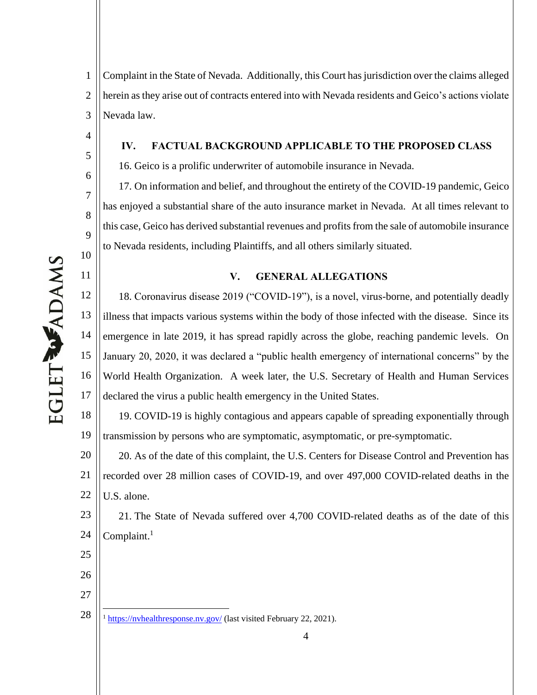4

5

6

7

8

9

10

11

1 2 3 Complaint in the State of Nevada. Additionally, this Court has jurisdiction over the claims alleged herein as they arise out of contracts entered into with Nevada residents and Geico's actions violate Nevada law.

#### **IV. FACTUAL BACKGROUND APPLICABLE TO THE PROPOSED CLASS**

16. Geico is a prolific underwriter of automobile insurance in Nevada.

17. On information and belief, and throughout the entirety of the COVID-19 pandemic, Geico has enjoyed a substantial share of the auto insurance market in Nevada. At all times relevant to this case, Geico has derived substantial revenues and profits from the sale of automobile insurance to Nevada residents, including Plaintiffs, and all others similarly situated.

#### **V. GENERAL ALLEGATIONS**

12 13 14 15 16 17 18. Coronavirus disease 2019 ("COVID-19"), is a novel, virus-borne, and potentially deadly illness that impacts various systems within the body of those infected with the disease. Since its emergence in late 2019, it has spread rapidly across the globe, reaching pandemic levels. On January 20, 2020, it was declared a "public health emergency of international concerns" by the World Health Organization. A week later, the U.S. Secretary of Health and Human Services declared the virus a public health emergency in the United States.

18 19 19. COVID-19 is highly contagious and appears capable of spreading exponentially through transmission by persons who are symptomatic, asymptomatic, or pre-symptomatic.

20 21 22 20. As of the date of this complaint, the U.S. Centers for Disease Control and Prevention has recorded over 28 million cases of COVID-19, and over 497,000 COVID-related deaths in the U.S. alone.

23 24 21. The State of Nevada suffered over 4,700 COVID-related deaths as of the date of this Complaint. $<sup>1</sup>$ </sup>

- 25
- 26

<sup>28</sup>  $1$  https://nvhealthresponse.nv.gov/ (last visited February 22, 2021).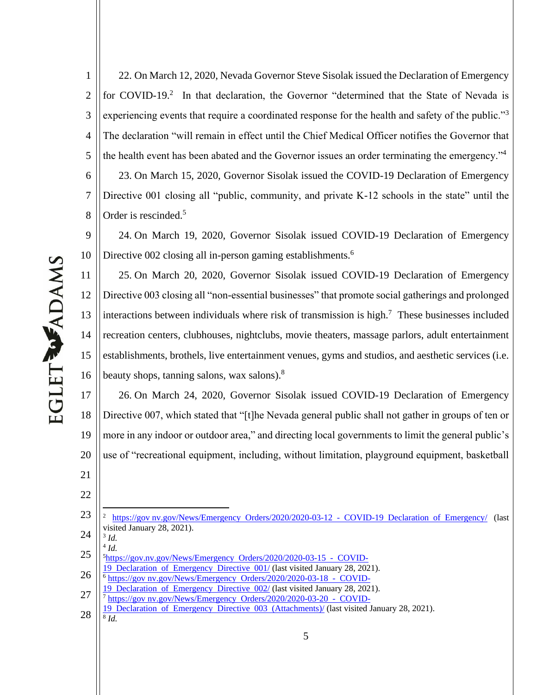22. On March 12, 2020, Nevada Governor Steve Sisolak issued the Declaration of Emergency for COVID-19.<sup>2</sup> In that declaration, the Governor "determined that the State of Nevada is experiencing events that require a coordinated response for the health and safety of the public."<sup>3</sup> The declaration "will remain in effect until the Chief Medical Officer notifies the Governor that the health event has been abated and the Governor issues an order terminating the emergency."<sup>4</sup> 23. On March 15, 2020, Governor Sisolak issued the COVID-19 Declaration of Emergency Directive 001 closing all "public, community, and private K-12 schools in the state" until the Order is rescinded.<sup>5</sup>

 24. On March 19, 2020, Governor Sisolak issued COVID-19 Declaration of Emergency Directive 002 closing all in-person gaming establishments.<sup>6</sup>

 25. On March 20, 2020, Governor Sisolak issued COVID-19 Declaration of Emergency Directive 003 closing all "non-essential businesses" that promote social gatherings and prolonged interactions between individuals where risk of transmission is high.<sup>7</sup> These businesses included recreation centers, clubhouses, nightclubs, movie theaters, massage parlors, adult entertainment establishments, brothels, live entertainment venues, gyms and studios, and aesthetic services (i.e. beauty shops, tanning salons, wax salons).<sup>8</sup>

 26. On March 24, 2020, Governor Sisolak issued COVID-19 Declaration of Emergency Directive 007, which stated that "[t]he Nevada general public shall not gather in groups of ten or more in any indoor or outdoor area," and directing local governments to limit the general public's use of "recreational equipment, including, without limitation, playground equipment, basketball

*Id.*

- Declaration of Emergency Directive 001/ (last visited January 28, 2021).
- https://gov nv.gov/News/Emergency Orders/2020/2020-03-18 COVID-

- https://gov nv.gov/News/Emergency Orders/2020/2020-03-20 COVID-
- Declaration of Emergency Directive 003 (Attachments)/ (last visited January 28, 2021). *Id.*

 https://gov nv.gov/News/Emergency Orders/2020/2020-03-12 - COVID-19 Declaration of Emergency/ (last visited January 28, 2021). *Id.*

 https://gov.nv.gov/News/Emergency Orders/2020/2020-03-15 - COVID-

 Declaration of Emergency Directive 002/ (last visited January 28, 2021).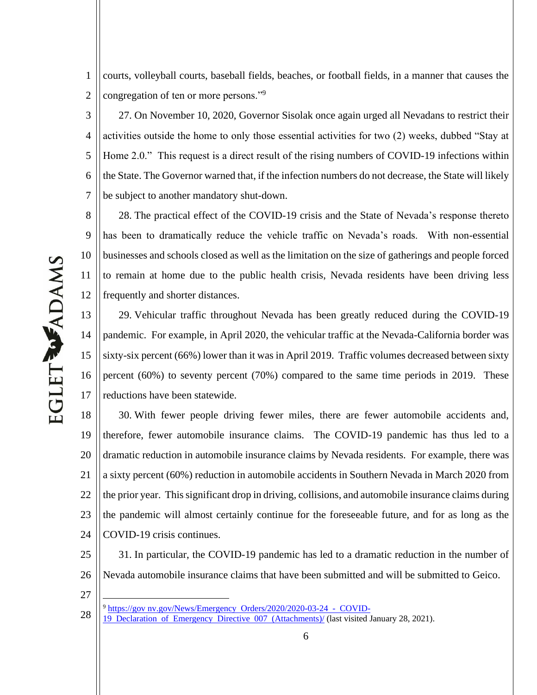1 2 courts, volleyball courts, baseball fields, beaches, or football fields, in a manner that causes the congregation of ten or more persons."<sup>9</sup>

3 4 5 6 7 27. On November 10, 2020, Governor Sisolak once again urged all Nevadans to restrict their activities outside the home to only those essential activities for two (2) weeks, dubbed "Stay at Home 2.0." This request is a direct result of the rising numbers of COVID-19 infections within the State. The Governor warned that, if the infection numbers do not decrease, the State will likely be subject to another mandatory shut-down.

8 9 10 11 12 28. The practical effect of the COVID-19 crisis and the State of Nevada's response thereto has been to dramatically reduce the vehicle traffic on Nevada's roads. With non-essential businesses and schools closed as well as the limitation on the size of gatherings and people forced to remain at home due to the public health crisis, Nevada residents have been driving less frequently and shorter distances.

13 14 15 16 17 29. Vehicular traffic throughout Nevada has been greatly reduced during the COVID-19 pandemic. For example, in April 2020, the vehicular traffic at the Nevada-California border was sixty-six percent (66%) lower than it was in April 2019. Traffic volumes decreased between sixty percent (60%) to seventy percent (70%) compared to the same time periods in 2019. These reductions have been statewide.

18 19 20 21 22 23 24 30. With fewer people driving fewer miles, there are fewer automobile accidents and, therefore, fewer automobile insurance claims. The COVID-19 pandemic has thus led to a dramatic reduction in automobile insurance claims by Nevada residents. For example, there was a sixty percent (60%) reduction in automobile accidents in Southern Nevada in March 2020 from the prior year. This significant drop in driving, collisions, and automobile insurance claims during the pandemic will almost certainly continue for the foreseeable future, and for as long as the COVID-19 crisis continues.

25 26 27 31. In particular, the COVID-19 pandemic has led to a dramatic reduction in the number of Nevada automobile insurance claims that have been submitted and will be submitted to Geico.

28 <sup>9</sup> https://gov nv.gov/News/Emergency Orders/2020/2020-03-24 - COVID-

<sup>19</sup> Declaration of Emergency Directive 007 (Attachments)/ (last visited January 28, 2021).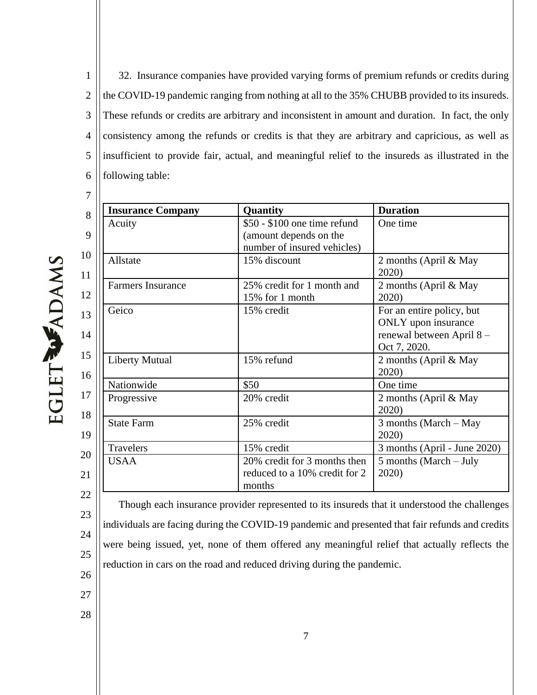1 2 3 4 5 6 32. Insurance companies have provided varying forms of premium refunds or credits during the COVID-19 pandemic ranging from nothing at all to the 35% CHUBB provided to its insureds. These refunds or credits are arbitrary and inconsistent in amount and duration. In fact, the only consistency among the refunds or credits is that they are arbitrary and capricious, as well as insufficient to provide fair, actual, and meaningful relief to the insureds as illustrated in the following table:

| <b>Insurance Company</b> | Quantity                                                                              | <b>Duration</b>                                                                              |
|--------------------------|---------------------------------------------------------------------------------------|----------------------------------------------------------------------------------------------|
| Acuity                   | \$50 - \$100 one time refund<br>(amount depends on the<br>number of insured vehicles) | One time                                                                                     |
| Allstate                 | 15% discount                                                                          | 2 months (April & May<br>2020)                                                               |
| <b>Farmers Insurance</b> | 25% credit for 1 month and<br>15% for 1 month                                         | 2 months (April & May<br>2020)                                                               |
| Geico                    | 15% credit                                                                            | For an entire policy, but<br>ONLY upon insurance<br>renewal between April 8-<br>Oct 7, 2020. |
| <b>Liberty Mutual</b>    | 15% refund                                                                            | 2 months (April & May<br>2020)                                                               |
| Nationwide               | \$50                                                                                  | One time                                                                                     |
| Progressive              | 20% credit                                                                            | 2 months (April & May<br>2020                                                                |
| <b>State Farm</b>        | 25% credit                                                                            | 3 months (March $-$ May<br>2020)                                                             |
| <b>Travelers</b>         | 15% credit                                                                            | 3 months (April - June 2020)                                                                 |
| <b>USAA</b>              | 20% credit for 3 months then<br>reduced to a 10% credit for 2<br>months               | $5$ months (March $-$ July<br>2020)                                                          |

EGLET WADAMS

7

22 23

24

- 25
- 26
- 27
- 28

Though each insurance provider represented to its insureds that it understood the challenges

individuals are facing during the COVID-19 pandemic and presented that fair refunds and credits

were being issued, yet, none of them offered any meaningful relief that actually reflects the

reduction in cars on the road and reduced driving during the pandemic.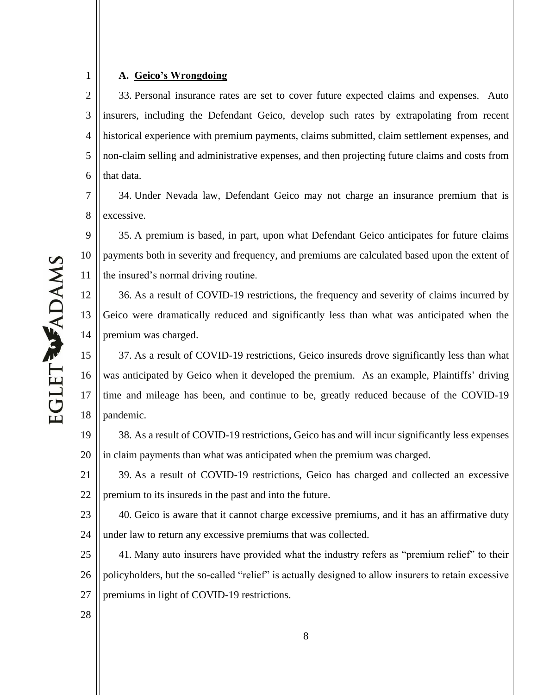## A. Geico's Wrongdoing

1

2 3 4 5 6 33. Personal insurance rates are set to cover future expected claims and expenses. Auto insurers, including the Defendant Geico, develop such rates by extrapolating from recent historical experience with premium payments, claims submitted, claim settlement expenses, and non-claim selling and administrative expenses, and then projecting future claims and costs from that data.

7 8 34. Under Nevada law, Defendant Geico may not charge an insurance premium that is excessive.

9 10 11 35. A premium is based, in part, upon what Defendant Geico anticipates for future claims payments both in severity and frequency, and premiums are calculated based upon the extent of the insured's normal driving routine.

12 13 14 36. As a result of COVID-19 restrictions, the frequency and severity of claims incurred by Geico were dramatically reduced and significantly less than what was anticipated when the premium was charged.

15 16 17 18 37. As a result of COVID-19 restrictions, Geico insureds drove significantly less than what was anticipated by Geico when it developed the premium. As an example, Plaintiffs' driving time and mileage has been, and continue to be, greatly reduced because of the COVID-19 pandemic.

19 20 38. As a result of COVID-19 restrictions, Geico has and will incur significantly less expenses in claim payments than what was anticipated when the premium was charged.

21 22 39. As a result of COVID-19 restrictions, Geico has charged and collected an excessive premium to its insureds in the past and into the future.

23 24 40. Geico is aware that it cannot charge excessive premiums, and it has an affirmative duty under law to return any excessive premiums that was collected.

25 26 27 41. Many auto insurers have provided what the industry refers as "premium relief" to their policyholders, but the so-called "relief" is actually designed to allow insurers to retain excessive premiums in light of COVID-19 restrictions.

EGLET WADAMS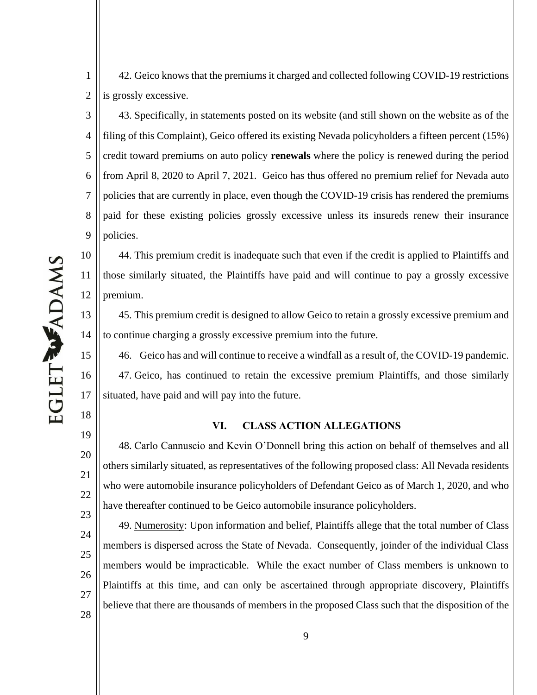42. Geico knows that the premiums it charged and collected following COVID-19 restrictions is grossly excessive.

3 4 5 6 7 8 9 43. Specifically, in statements posted on its website (and still shown on the website as of the filing of this Complaint), Geico offered its existing Nevada policyholders a fifteen percent (15%) credit toward premiums on auto policy **renewals** where the policy is renewed during the period from April 8, 2020 to April 7, 2021. Geico has thus offered no premium relief for Nevada auto policies that are currently in place, even though the COVID-19 crisis has rendered the premiums paid for these existing policies grossly excessive unless its insureds renew their insurance policies.

EGLET WADAMS

1

2

10

11

12

15

16

17

18

19

20

21

22

23

44. This premium credit is inadequate such that even if the credit is applied to Plaintiffs and those similarly situated, the Plaintiffs have paid and will continue to pay a grossly excessive premium.

13 14 45. This premium credit is designed to allow Geico to retain a grossly excessive premium and to continue charging a grossly excessive premium into the future.

46. Geico has and will continue to receive a windfall as a result of, the COVID-19 pandemic. 47. Geico, has continued to retain the excessive premium Plaintiffs, and those similarly situated, have paid and will pay into the future.

# **VI. CLASS ACTION ALLEGATIONS**

48. Carlo Cannuscio and Kevin O'Donnell bring this action on behalf of themselves and all others similarly situated, as representatives of the following proposed class: All Nevada residents who were automobile insurance policyholders of Defendant Geico as of March 1, 2020, and who have thereafter continued to be Geico automobile insurance policyholders.

24 25 26 27 49. Numerosity: Upon information and belief, Plaintiffs allege that the total number of Class members is dispersed across the State of Nevada. Consequently, joinder of the individual Class members would be impracticable. While the exact number of Class members is unknown to Plaintiffs at this time, and can only be ascertained through appropriate discovery, Plaintiffs believe that there are thousands of members in the proposed Class such that the disposition of the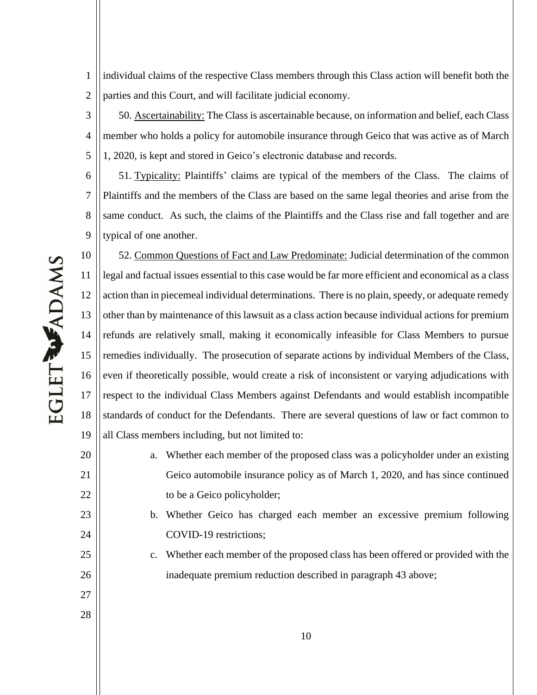1 2 individual claims of the respective Class members through this Class action will benefit both the parties and this Court, and will facilitate judicial economy.

3 4 5 50. Ascertainability: The Class is ascertainable because, on information and belief, each Class member who holds a policy for automobile insurance through Geico that was active as of March 1, 2020, is kept and stored in Geico's electronic database and records.

6 7 8 9 51. Typicality: Plaintiffs' claims are typical of the members of the Class. The claims of Plaintiffs and the members of the Class are based on the same legal theories and arise from the same conduct. As such, the claims of the Plaintiffs and the Class rise and fall together and are typical of one another.

10 11 12 13 14 15 16 17 18 19 52. Common Questions of Fact and Law Predominate: Judicial determination of the common legal and factual issues essential to this case would be far more efficient and economical as a class action than in piecemeal individual determinations. There is no plain, speedy, or adequate remedy other than by maintenance of this lawsuit as a class action because individual actions for premium refunds are relatively small, making it economically infeasible for Class Members to pursue remedies individually. The prosecution of separate actions by individual Members of the Class, even if theoretically possible, would create a risk of inconsistent or varying adjudications with respect to the individual Class Members against Defendants and would establish incompatible standards of conduct for the Defendants. There are several questions of law or fact common to all Class members including, but not limited to:

- a. Whether each member of the proposed class was a policyholder under an existing Geico automobile insurance policy as of March 1, 2020, and has since continued to be a Geico policyholder;
- b. Whether Geico has charged each member an excessive premium following COVID-19 restrictions;
- c. Whether each member of the proposed class has been offered or provided with the inadequate premium reduction described in paragraph 43 above;

20

21

22

23

24

25

26

27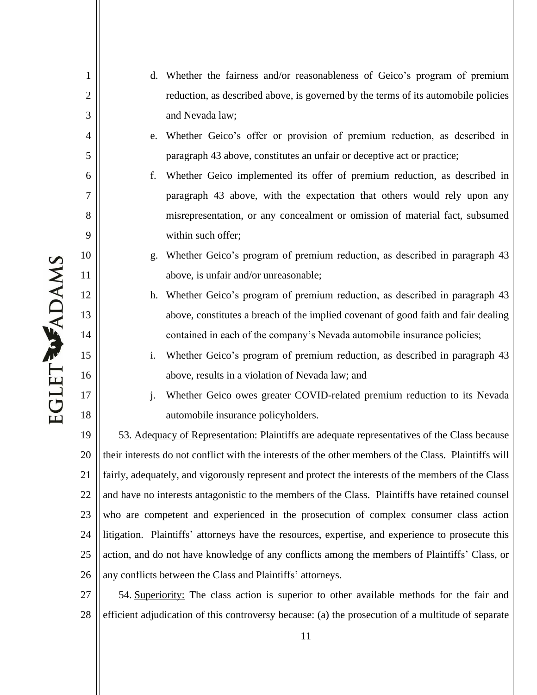**EGLET WADAMS** 

1

2

3

4

5

6

7

8

9

10

11

12

13

14

15

16

17

18

- d. Whether the fairness and/or reasonableness of Geico's program of premium reduction, as described above, is governed by the terms of its automobile policies and Nevada law;
- e. Whether Geico's offer or provision of premium reduction, as described in paragraph 43 above, constitutes an unfair or deceptive act or practice;
- f. Whether Geico implemented its offer of premium reduction, as described in paragraph 43 above, with the expectation that others would rely upon any misrepresentation, or any concealment or omission of material fact, subsumed within such offer;
- g. Whether Geico's program of premium reduction, as described in paragraph 43 above, is unfair and/or unreasonable;
- h. Whether Geico's program of premium reduction, as described in paragraph 43 above, constitutes a breach of the implied covenant of good faith and fair dealing contained in each of the company's Nevada automobile insurance policies;
- i. Whether Geico's program of premium reduction, as described in paragraph 43 above, results in a violation of Nevada law; and
- j. Whether Geico owes greater COVID-related premium reduction to its Nevada automobile insurance policyholders.

19 20 21 22 23 24 25 26 53. Adequacy of Representation: Plaintiffs are adequate representatives of the Class because their interests do not conflict with the interests of the other members of the Class. Plaintiffs will fairly, adequately, and vigorously represent and protect the interests of the members of the Class and have no interests antagonistic to the members of the Class. Plaintiffs have retained counsel who are competent and experienced in the prosecution of complex consumer class action litigation. Plaintiffs' attorneys have the resources, expertise, and experience to prosecute this action, and do not have knowledge of any conflicts among the members of Plaintiffs' Class, or any conflicts between the Class and Plaintiffs' attorneys.

27 28 54. Superiority: The class action is superior to other available methods for the fair and efficient adjudication of this controversy because: (a) the prosecution of a multitude of separate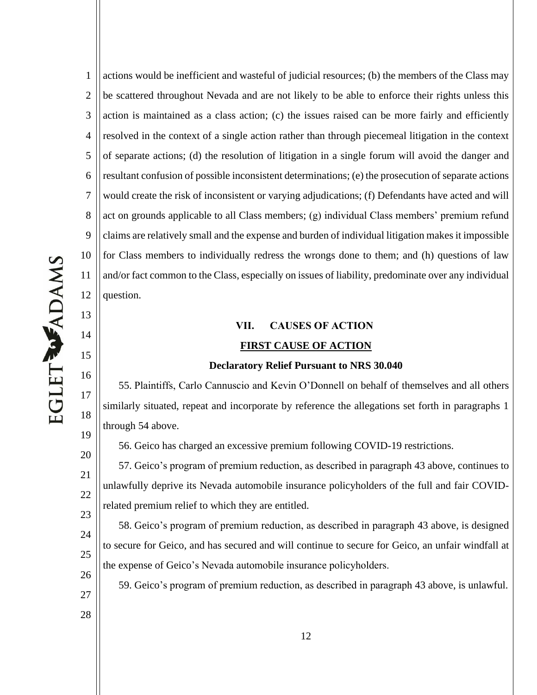13

14

15

16

17

18

19

20

21

22

23

27

28

1 2 3 4 5 6 7 8 9 10 11 12 actions would be inefficient and wasteful of judicial resources; (b) the members of the Class may be scattered throughout Nevada and are not likely to be able to enforce their rights unless this action is maintained as a class action; (c) the issues raised can be more fairly and efficiently resolved in the context of a single action rather than through piecemeal litigation in the context of separate actions; (d) the resolution of litigation in a single forum will avoid the danger and resultant confusion of possible inconsistent determinations; (e) the prosecution of separate actions would create the risk of inconsistent or varying adjudications; (f) Defendants have acted and will act on grounds applicable to all Class members;  $(g)$  individual Class members' premium refund claims are relatively small and the expense and burden of individual litigation makes it impossible for Class members to individually redress the wrongs done to them; and (h) questions of law and/or fact common to the Class, especially on issues of liability, predominate over any individual question.

# **VII. CAUSES OF ACTION FIRST CAUSE OF ACTION**

#### **Declaratory Relief Pursuant to NRS 30.040**

55. Plaintiffs, Carlo Cannuscio and Kevin O'Donnell on behalf of themselves and all others similarly situated, repeat and incorporate by reference the allegations set forth in paragraphs 1 through 54 above.

56. Geico has charged an excessive premium following COVID-19 restrictions.

57. Geico's program of premium reduction, as described in paragraph 43 above, continues to unlawfully deprive its Nevada automobile insurance policyholders of the full and fair COVIDrelated premium relief to which they are entitled.

24 25 26 58. Geico's program of premium reduction, as described in paragraph 43 above, is designed to secure for Geico, and has secured and will continue to secure for Geico, an unfair windfall at the expense of Geico's Nevada automobile insurance policyholders.

59. Geico's program of premium reduction, as described in paragraph 43 above, is unlawful.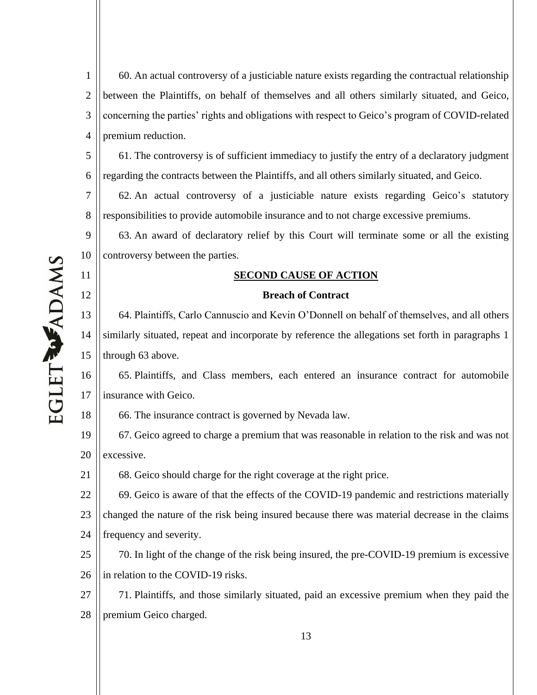1 2 3 4 60. An actual controversy of a justiciable nature exists regarding the contractual relationship between the Plaintiffs, on behalf of themselves and all others similarly situated, and Geico, concerning the parties' rights and obligations with respect to Geico's program of COVID-related premium reduction.

5 6 61. The controversy is of sufficient immediacy to justify the entry of a declaratory judgment regarding the contracts between the Plaintiffs, and all others similarly situated, and Geico.

7 8 62. An actual controversy of a justiciable nature exists regarding Geico's statutory responsibilities to provide automobile insurance and to not charge excessive premiums.

9 10 63. An award of declaratory relief by this Court will terminate some or all the existing controversy between the parties.

## **SECOND CAUSE OF ACTION**

## **Breach of Contract**

13 14 15 64. Plaintiffs, Carlo Cannuscio and Kevin O'Donnell on behalf of themselves, and all others similarly situated, repeat and incorporate by reference the allegations set forth in paragraphs 1 through 63 above.

16 17 65. Plaintiffs, and Class members, each entered an insurance contract for automobile insurance with Geico.

66. The insurance contract is governed by Nevada law.

19 20 67. Geico agreed to charge a premium that was reasonable in relation to the risk and was not excessive.

68. Geico should charge for the right coverage at the right price.

22 23 24 69. Geico is aware of that the effects of the COVID-19 pandemic and restrictions materially changed the nature of the risk being insured because there was material decrease in the claims frequency and severity.

25 26 70. In light of the change of the risk being insured, the pre-COVID-19 premium is excessive in relation to the COVID-19 risks.

27 28 71. Plaintiffs, and those similarly situated, paid an excessive premium when they paid the premium Geico charged.

11

12

18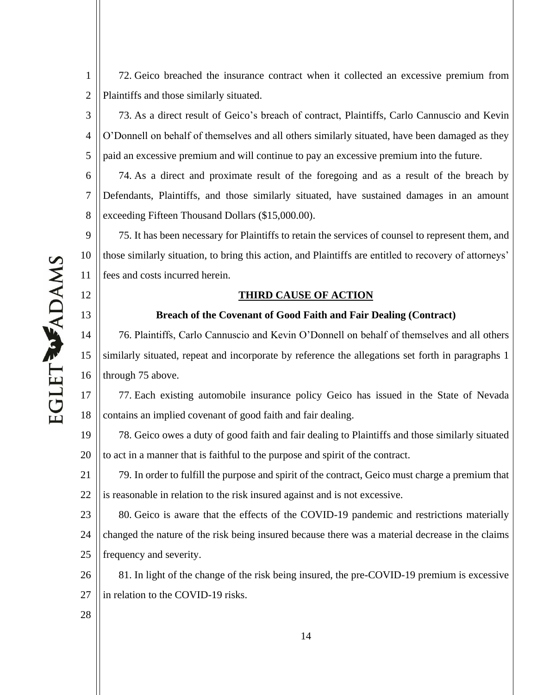1 2 72. Geico breached the insurance contract when it collected an excessive premium from Plaintiffs and those similarly situated.

3 4 5 73. As a direct result of Geico's breach of contract, Plaintiffs, Carlo Cannuscio and Kevin O'Donnell on behalf of themselves and all others similarly situated, have been damaged as they paid an excessive premium and will continue to pay an excessive premium into the future.

6 7 8 74. As a direct and proximate result of the foregoing and as a result of the breach by Defendants, Plaintiffs, and those similarly situated, have sustained damages in an amount exceeding Fifteen Thousand Dollars (\$15,000.00).

9 10 11 75. It has been necessary for Plaintiffs to retain the services of counsel to represent them, and those similarly situation, to bring this action, and Plaintiffs are entitled to recovery of attorneys' fees and costs incurred herein.

## **THIRD CAUSE OF ACTION**

# **Breach of the Covenant of Good Faith and Fair Dealing (Contract)**

14 15 16 76. Plaintiffs, Carlo Cannuscio and Kevin O'Donnell on behalf of themselves and all others similarly situated, repeat and incorporate by reference the allegations set forth in paragraphs 1 through 75 above.

17 18 77. Each existing automobile insurance policy Geico has issued in the State of Nevada contains an implied covenant of good faith and fair dealing.

19 20 78. Geico owes a duty of good faith and fair dealing to Plaintiffs and those similarly situated to act in a manner that is faithful to the purpose and spirit of the contract.

21 22 79. In order to fulfill the purpose and spirit of the contract, Geico must charge a premium that is reasonable in relation to the risk insured against and is not excessive.

23 24 25 80. Geico is aware that the effects of the COVID-19 pandemic and restrictions materially changed the nature of the risk being insured because there was a material decrease in the claims frequency and severity.

26 27 81. In light of the change of the risk being insured, the pre-COVID-19 premium is excessive in relation to the COVID-19 risks.

**EGLET WADAMS** 

12

13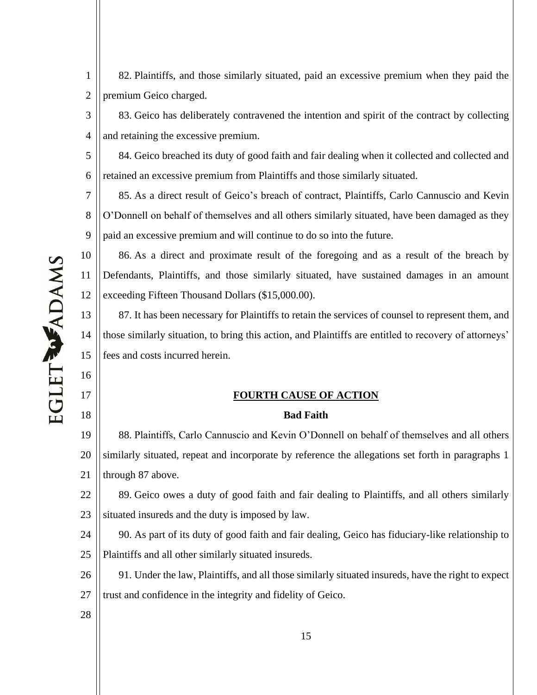82. Plaintiffs, and those similarly situated, paid an excessive premium when they paid the premium Geico charged.

3 4 83. Geico has deliberately contravened the intention and spirit of the contract by collecting and retaining the excessive premium.

5 6 84. Geico breached its duty of good faith and fair dealing when it collected and collected and retained an excessive premium from Plaintiffs and those similarly situated.

7 8 9 85. As a direct result of Geico's breach of contract, Plaintiffs, Carlo Cannuscio and Kevin  $O'$ Donnell on behalf of themselves and all others similarly situated, have been damaged as they paid an excessive premium and will continue to do so into the future.

10 11 12 86. As a direct and proximate result of the foregoing and as a result of the breach by Defendants, Plaintiffs, and those similarly situated, have sustained damages in an amount exceeding Fifteen Thousand Dollars (\$15,000.00).

13 14 15 87. It has been necessary for Plaintiffs to retain the services of counsel to represent them, and those similarly situation, to bring this action, and Plaintiffs are entitled to recovery of attorneys' fees and costs incurred herein.

# **FOURTH CAUSE OF ACTION**

#### **Bad Faith**

19 20 21 88. Plaintiffs, Carlo Cannuscio and Kevin O'Donnell on behalf of themselves and all others similarly situated, repeat and incorporate by reference the allegations set forth in paragraphs 1 through 87 above.

22 23 89. Geico owes a duty of good faith and fair dealing to Plaintiffs, and all others similarly situated insureds and the duty is imposed by law.

24 25 90. As part of its duty of good faith and fair dealing, Geico has fiduciary-like relationship to Plaintiffs and all other similarly situated insureds.

26 27 91. Under the law, Plaintiffs, and all those similarly situated insureds, have the right to expect trust and confidence in the integrity and fidelity of Geico.

28

**EGLET WADAMS** 

16

17

18

1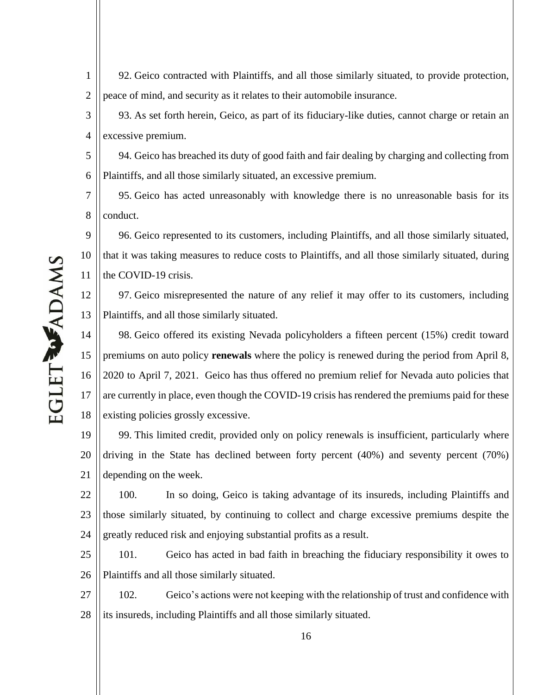92. Geico contracted with Plaintiffs, and all those similarly situated, to provide protection, peace of mind, and security as it relates to their automobile insurance.

3 4 93. As set forth herein, Geico, as part of its fiduciary-like duties, cannot charge or retain an excessive premium.

5 6 94. Geico has breached its duty of good faith and fair dealing by charging and collecting from Plaintiffs, and all those similarly situated, an excessive premium.

7 8 95. Geico has acted unreasonably with knowledge there is no unreasonable basis for its conduct.

9 10 11 96. Geico represented to its customers, including Plaintiffs, and all those similarly situated, that it was taking measures to reduce costs to Plaintiffs, and all those similarly situated, during the COVID-19 crisis.

12 13 97. Geico misrepresented the nature of any relief it may offer to its customers, including Plaintiffs, and all those similarly situated.

14 15 16 17 18 98. Geico offered its existing Nevada policyholders a fifteen percent (15%) credit toward premiums on auto policy **renewals** where the policy is renewed during the period from April 8, 2020 to April 7, 2021. Geico has thus offered no premium relief for Nevada auto policies that are currently in place, even though the COVID-19 crisis has rendered the premiums paid for these existing policies grossly excessive.

19 20 21 99. This limited credit, provided only on policy renewals is insufficient, particularly where driving in the State has declined between forty percent (40%) and seventy percent (70%) depending on the week.

22 23 24 100. In so doing, Geico is taking advantage of its insureds, including Plaintiffs and those similarly situated, by continuing to collect and charge excessive premiums despite the greatly reduced risk and enjoying substantial profits as a result.

25 26 101. Geico has acted in bad faith in breaching the fiduciary responsibility it owes to Plaintiffs and all those similarly situated.

27 28 102. Geico's actions were not keeping with the relationship of trust and confidence with its insureds, including Plaintiffs and all those similarly situated.

1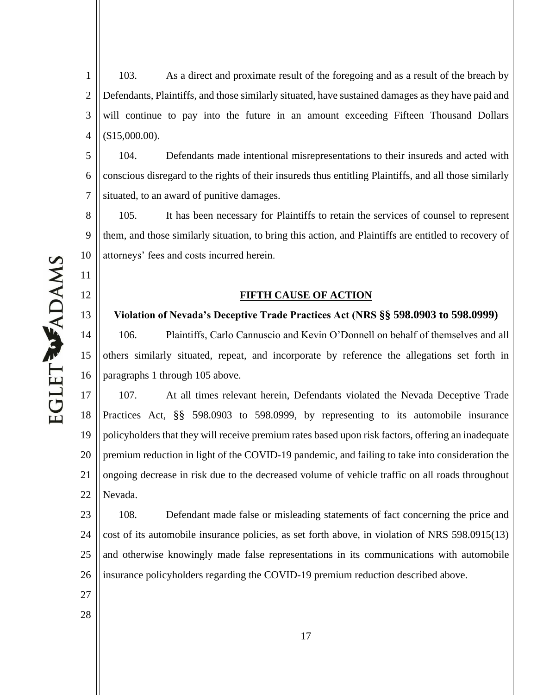1 2 3 4 103. As a direct and proximate result of the foregoing and as a result of the breach by Defendants, Plaintiffs, and those similarly situated, have sustained damages as they have paid and will continue to pay into the future in an amount exceeding Fifteen Thousand Dollars (\$15,000.00).

5 6 7 104. Defendants made intentional misrepresentations to their insureds and acted with conscious disregard to the rights of their insureds thus entitling Plaintiffs, and all those similarly situated, to an award of punitive damages.

8 9 10 105. It has been necessary for Plaintiffs to retain the services of counsel to represent them, and those similarly situation, to bring this action, and Plaintiffs are entitled to recovery of attorneys' fees and costs incurred herein.

#### **FIFTH CAUSE OF ACTION**

**Violation of Nevada's Deceptive Trade Practices Act (NRS §§ 598.0903 to 598.0999)** 

14 15 16 106. 3DD. 2011 Plaintiffs, Carlo Cannuscio and Kevin O'Donnell on behalf of themselves and all others similarly situated, repeat, and incorporate by reference the allegations set forth in paragraphs 1 through 105 above.

17 18 19 20 21 22 107. At all times relevant herein, Defendants violated the Nevada Deceptive Trade Practices Act, §§ 598.0903 to 598.0999, by representing to its automobile insurance policyholders that they will receive premium rates based upon risk factors, offering an inadequate premium reduction in light of the COVID-19 pandemic, and failing to take into consideration the ongoing decrease in risk due to the decreased volume of vehicle traffic on all roads throughout Nevada.

23 24 25 26 108. Defendant made false or misleading statements of fact concerning the price and cost of its automobile insurance policies, as set forth above, in violation of NRS 598.0915(13) and otherwise knowingly made false representations in its communications with automobile insurance policyholders regarding the COVID-19 premium reduction described above.

11

12

13

27

28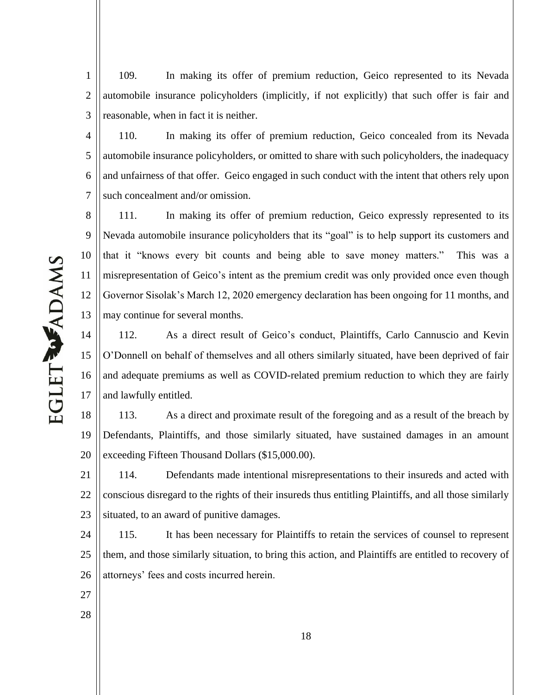1 2 3 109. In making its offer of premium reduction, Geico represented to its Nevada automobile insurance policyholders (implicitly, if not explicitly) that such offer is fair and reasonable, when in fact it is neither.

4 5 6 7 110. In making its offer of premium reduction, Geico concealed from its Nevada automobile insurance policyholders, or omitted to share with such policyholders, the inadequacy and unfairness of that offer. Geico engaged in such conduct with the intent that others rely upon such concealment and/or omission.

8 9 10 11 12 13 111. In making its offer of premium reduction, Geico expressly represented to its Nevada automobile insurance policyholders that its "goal" is to help support its customers and that it "knows every bit counts and being able to save money matters." This was a misrepresentation of Geico's intent as the premium credit was only provided once even though Governor Sisolak's March 12, 2020 emergency declaration has been ongoing for 11 months, and may continue for several months.

14 15 16 17 112. As a direct result of Geico's conduct, Plaintiffs, Carlo Cannuscio and Kevin O'Donnell on behalf of themselves and all others similarly situated, have been deprived of fair and adequate premiums as well as COVID-related premium reduction to which they are fairly and lawfully entitled.

18 19 20 113. As a direct and proximate result of the foregoing and as a result of the breach by Defendants, Plaintiffs, and those similarly situated, have sustained damages in an amount exceeding Fifteen Thousand Dollars (\$15,000.00).

21 22 23 114. Defendants made intentional misrepresentations to their insureds and acted with conscious disregard to the rights of their insureds thus entitling Plaintiffs, and all those similarly situated, to an award of punitive damages.

24 25 26 115. It has been necessary for Plaintiffs to retain the services of counsel to represent them, and those similarly situation, to bring this action, and Plaintiffs are entitled to recovery of attorneys' fees and costs incurred herein.

- 27
- 28

**EGLET WADAMS**